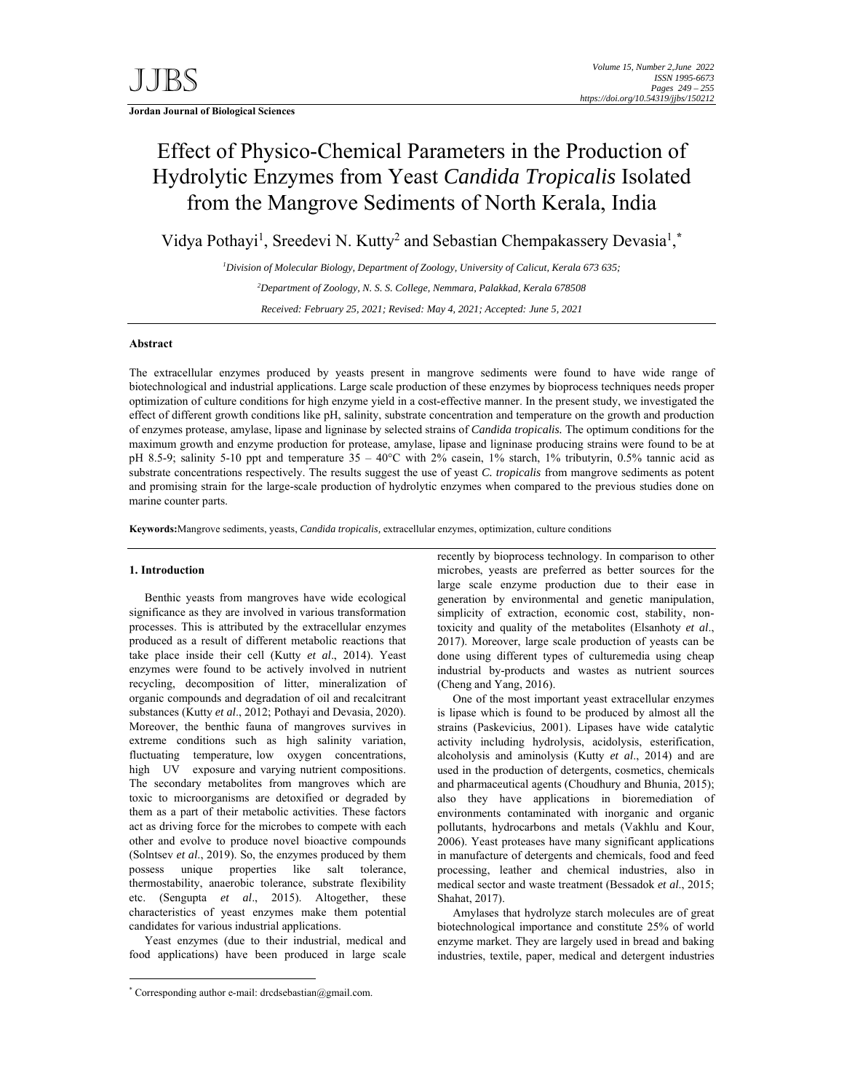**Jordan Journal of Biological Sciences** 

# Effect of Physico-Chemical Parameters in the Production of Hydrolytic Enzymes from Yeast *Candida Tropicalis* Isolated from the Mangrove Sediments of North Kerala, India

Vidya Pothayi<sup>1</sup>, Sreedevi N. Kutty<sup>2</sup> and Sebastian Chempakassery Devasia<sup>1</sup>,\*

*1 Division of Molecular Biology, Department of Zoology, University of Calicut, Kerala 673 635; 2 Department of Zoology, N. S. S. College, Nemmara, Palakkad, Kerala 678508 Received: February 25, 2021; Revised: May 4, 2021; Accepted: June 5, 2021* 

# **Abstract**

The extracellular enzymes produced by yeasts present in mangrove sediments were found to have wide range of biotechnological and industrial applications. Large scale production of these enzymes by bioprocess techniques needs proper optimization of culture conditions for high enzyme yield in a cost-effective manner. In the present study, we investigated the effect of different growth conditions like pH, salinity, substrate concentration and temperature on the growth and production of enzymes protease, amylase, lipase and ligninase by selected strains of *Candida tropicalis.* The optimum conditions for the maximum growth and enzyme production for protease, amylase, lipase and ligninase producing strains were found to be at pH 8.5-9; salinity 5-10 ppt and temperature 35 – 40°C with 2% casein, 1% starch, 1% tributyrin, 0.5% tannic acid as substrate concentrations respectively. The results suggest the use of yeast *C. tropicalis* from mangrove sediments as potent and promising strain for the large-scale production of hydrolytic enzymes when compared to the previous studies done on marine counter parts.

**Keywords:**Mangrove sediments, yeasts, *Candida tropicalis,* extracellular enzymes, optimization, culture conditions

## **1. Introduction**

-

Benthic yeasts from mangroves have wide ecological significance as they are involved in various transformation processes. This is attributed by the extracellular enzymes produced as a result of different metabolic reactions that take place inside their cell (Kutty *et al*., 2014). Yeast enzymes were found to be actively involved in nutrient recycling, decomposition of litter, mineralization of organic compounds and degradation of oil and recalcitrant substances (Kutty *et al*., 2012; Pothayi and Devasia, 2020). Moreover, the benthic fauna of mangroves survives in extreme conditions such as high salinity variation, fluctuating temperature, low oxygen concentrations, high UV exposure and varying nutrient compositions. The secondary metabolites from mangroves which are toxic to microorganisms are detoxified or degraded by them as a part of their metabolic activities. These factors act as driving force for the microbes to compete with each other and evolve to produce novel bioactive compounds (Solntsev *et al*., 2019). So, the enzymes produced by them possess unique properties like salt tolerance, thermostability, anaerobic tolerance, substrate flexibility etc. (Sengupta *et al*., 2015). Altogether, these characteristics of yeast enzymes make them potential candidates for various industrial applications.

Yeast enzymes (due to their industrial, medical and food applications) have been produced in large scale recently by bioprocess technology. In comparison to other microbes, yeasts are preferred as better sources for the large scale enzyme production due to their ease in generation by environmental and genetic manipulation, simplicity of extraction, economic cost, stability, nontoxicity and quality of the metabolites (Elsanhoty *et al*., 2017). Moreover, large scale production of yeasts can be done using different types of culturemedia using cheap industrial by-products and wastes as nutrient sources (Cheng and Yang, 2016).

One of the most important yeast extracellular enzymes is lipase which is found to be produced by almost all the strains (Paskevicius, 2001). Lipases have wide catalytic activity including hydrolysis, acidolysis, esterification, alcoholysis and aminolysis (Kutty *et al*., 2014) and are used in the production of detergents, cosmetics, chemicals and pharmaceutical agents (Choudhury and Bhunia, 2015); also they have applications in bioremediation of environments contaminated with inorganic and organic pollutants, hydrocarbons and metals (Vakhlu and Kour, 2006). Yeast proteases have many significant applications in manufacture of detergents and chemicals, food and feed processing, leather and chemical industries, also in medical sector and waste treatment (Bessadok *et al*., 2015; Shahat, 2017).

Amylases that hydrolyze starch molecules are of great biotechnological importance and constitute 25% of world enzyme market. They are largely used in bread and baking industries, textile, paper, medical and detergent industries

<sup>\*</sup> Corresponding author e-mail: drcdsebastian@gmail.com.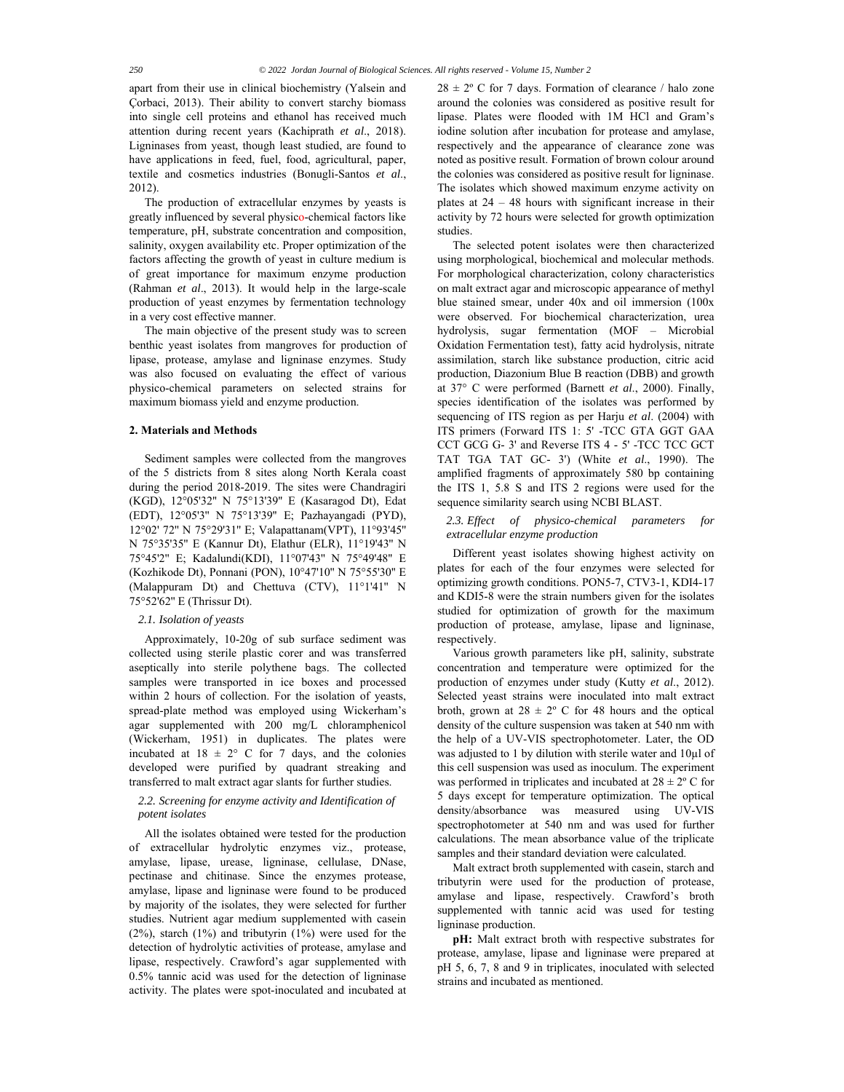apart from their use in clinical biochemistry (Yalsein and Çorbaci, 2013). Their ability to convert starchy biomass into single cell proteins and ethanol has received much attention during recent years (Kachiprath *et al*., 2018). Ligninases from yeast, though least studied, are found to have applications in feed, fuel, food, agricultural, paper, textile and cosmetics industries (Bonugli-Santos *et al*., 2012).

The production of extracellular enzymes by yeasts is greatly influenced by several physico-chemical factors like temperature, pH, substrate concentration and composition, salinity, oxygen availability etc. Proper optimization of the factors affecting the growth of yeast in culture medium is of great importance for maximum enzyme production (Rahman *et al*., 2013). It would help in the large-scale production of yeast enzymes by fermentation technology in a very cost effective manner.

The main objective of the present study was to screen benthic yeast isolates from mangroves for production of lipase, protease, amylase and ligninase enzymes. Study was also focused on evaluating the effect of various physico-chemical parameters on selected strains for maximum biomass yield and enzyme production.

# **2. Materials and Methods**

Sediment samples were collected from the mangroves of the 5 districts from 8 sites along North Kerala coast during the period 2018-2019. The sites were Chandragiri (KGD), 12°05'32'' N 75°13'39'' E (Kasaragod Dt), Edat (EDT), 12°05'3'' N 75°13'39'' E; Pazhayangadi (PYD), 12°02' 72'' N 75°29'31'' E; Valapattanam(VPT), 11°93'45'' N 75°35'35'' E (Kannur Dt), Elathur (ELR), 11°19'43'' N 75°45'2'' E; Kadalundi(KDI), 11°07'43'' N 75°49'48'' E (Kozhikode Dt), Ponnani (PON), 10°47'10'' N 75°55'30'' E (Malappuram Dt) and Chettuva (CTV), 11°1'41'' N 75°52'62'' E (Thrissur Dt).

#### *2.1. Isolation of yeasts*

Approximately, 10-20g of sub surface sediment was collected using sterile plastic corer and was transferred aseptically into sterile polythene bags. The collected samples were transported in ice boxes and processed within 2 hours of collection. For the isolation of yeasts, spread-plate method was employed using Wickerham's agar supplemented with 200 mg/L chloramphenicol (Wickerham, 1951) in duplicates. The plates were incubated at  $18 \pm 2^{\circ}$  C for 7 days, and the colonies developed were purified by quadrant streaking and transferred to malt extract agar slants for further studies.

## *2.2. Screening for enzyme activity and Identification of potent isolates*

All the isolates obtained were tested for the production of extracellular hydrolytic enzymes viz., protease, amylase, lipase, urease, ligninase, cellulase, DNase, pectinase and chitinase. Since the enzymes protease, amylase, lipase and ligninase were found to be produced by majority of the isolates, they were selected for further studies. Nutrient agar medium supplemented with casein (2%), starch (1%) and tributyrin (1%) were used for the detection of hydrolytic activities of protease, amylase and lipase, respectively. Crawford's agar supplemented with 0.5% tannic acid was used for the detection of ligninase activity. The plates were spot-inoculated and incubated at  $28 \pm 2^{\circ}$  C for 7 days. Formation of clearance / halo zone around the colonies was considered as positive result for lipase. Plates were flooded with 1M HCl and Gram's iodine solution after incubation for protease and amylase, respectively and the appearance of clearance zone was noted as positive result. Formation of brown colour around the colonies was considered as positive result for ligninase. The isolates which showed maximum enzyme activity on plates at 24 – 48 hours with significant increase in their activity by 72 hours were selected for growth optimization studies.

The selected potent isolates were then characterized using morphological, biochemical and molecular methods. For morphological characterization, colony characteristics on malt extract agar and microscopic appearance of methyl blue stained smear, under 40x and oil immersion (100x were observed. For biochemical characterization, urea hydrolysis, sugar fermentation (MOF – Microbial Oxidation Fermentation test), fatty acid hydrolysis, nitrate assimilation, starch like substance production, citric acid production, Diazonium Blue B reaction (DBB) and growth at 37° C were performed (Barnett *et al*., 2000). Finally, species identification of the isolates was performed by sequencing of ITS region as per Harju *et al*. (2004) with ITS primers (Forward ITS 1: 5' -TCC GTA GGT GAA CCT GCG G- 3' and Reverse ITS 4 - 5' -TCC TCC GCT TAT TGA TAT GC- 3') (White *et al*., 1990). The amplified fragments of approximately 580 bp containing the ITS 1, 5.8 S and ITS 2 regions were used for the sequence similarity search using NCBI BLAST.

## *2.3. Effect of physico-chemical parameters for extracellular enzyme production*

Different yeast isolates showing highest activity on plates for each of the four enzymes were selected for optimizing growth conditions. PON5-7, CTV3-1, KDI4-17 and KDI5-8 were the strain numbers given for the isolates studied for optimization of growth for the maximum production of protease, amylase, lipase and ligninase, respectively.

Various growth parameters like pH, salinity, substrate concentration and temperature were optimized for the production of enzymes under study (Kutty *et al*., 2012). Selected yeast strains were inoculated into malt extract broth, grown at  $28 \pm 2^{\circ}$  C for 48 hours and the optical density of the culture suspension was taken at 540 nm with the help of a UV-VIS spectrophotometer. Later, the OD was adjusted to 1 by dilution with sterile water and 10µl of this cell suspension was used as inoculum. The experiment was performed in triplicates and incubated at  $28 \pm 2^{\circ}$  C for 5 days except for temperature optimization. The optical density/absorbance was measured using UV-VIS spectrophotometer at 540 nm and was used for further calculations. The mean absorbance value of the triplicate samples and their standard deviation were calculated.

Malt extract broth supplemented with casein, starch and tributyrin were used for the production of protease, amylase and lipase, respectively. Crawford's broth supplemented with tannic acid was used for testing ligninase production.

**pH:** Malt extract broth with respective substrates for protease, amylase, lipase and ligninase were prepared at pH 5, 6, 7, 8 and 9 in triplicates, inoculated with selected strains and incubated as mentioned.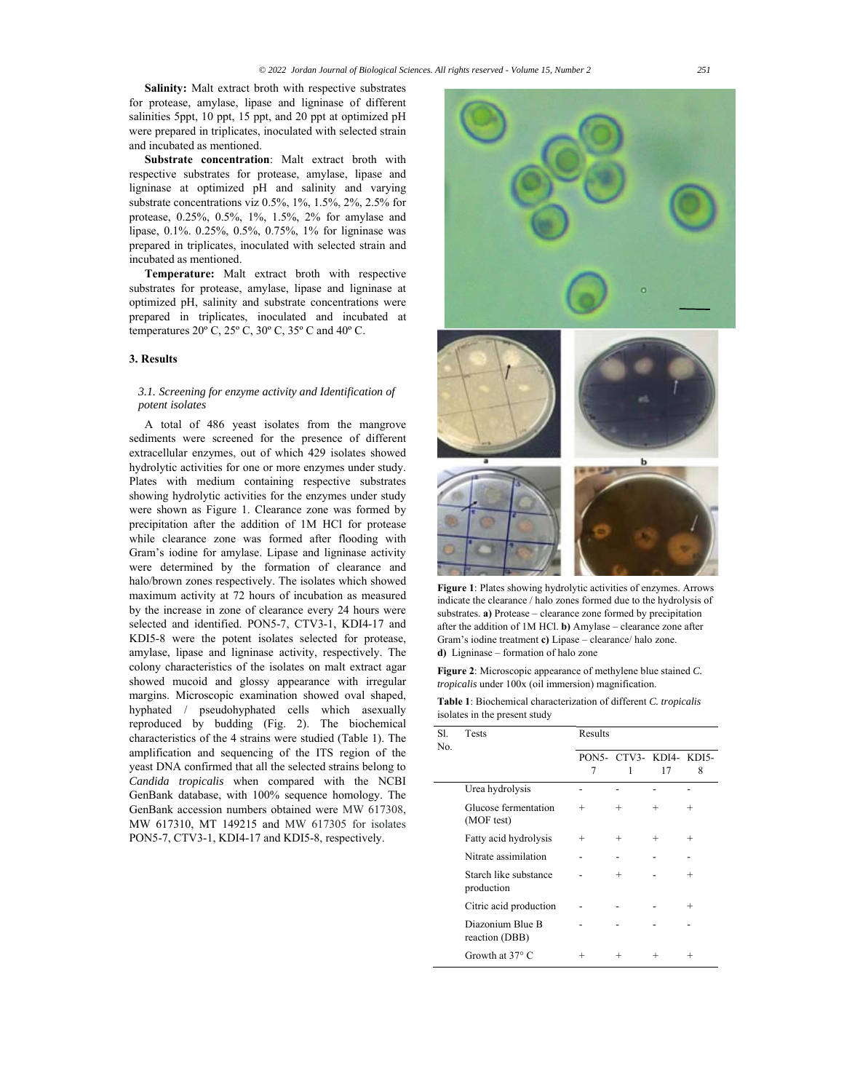**Salinity:** Malt extract broth with respective substrates for protease, amylase, lipase and ligninase of different salinities 5ppt, 10 ppt, 15 ppt, and 20 ppt at optimized pH were prepared in triplicates, inoculated with selected strain and incubated as mentioned.

**Substrate concentration**: Malt extract broth with respective substrates for protease, amylase, lipase and ligninase at optimized pH and salinity and varying substrate concentrations viz 0.5%, 1%, 1.5%, 2%, 2.5% for protease, 0.25%, 0.5%, 1%, 1.5%, 2% for amylase and lipase, 0.1%. 0.25%, 0.5%, 0.75%, 1% for ligninase was prepared in triplicates, inoculated with selected strain and incubated as mentioned.

**Temperature:** Malt extract broth with respective substrates for protease, amylase, lipase and ligninase at optimized pH, salinity and substrate concentrations were prepared in triplicates, inoculated and incubated at temperatures 20º C, 25º C, 30º C, 35º C and 40º C.

#### **3. Results**

#### *3.1. Screening for enzyme activity and Identification of potent isolates*

A total of 486 yeast isolates from the mangrove sediments were screened for the presence of different extracellular enzymes, out of which 429 isolates showed hydrolytic activities for one or more enzymes under study. Plates with medium containing respective substrates showing hydrolytic activities for the enzymes under study were shown as Figure 1. Clearance zone was formed by precipitation after the addition of 1M HCl for protease while clearance zone was formed after flooding with Gram's iodine for amylase. Lipase and ligninase activity were determined by the formation of clearance and halo/brown zones respectively. The isolates which showed maximum activity at 72 hours of incubation as measured by the increase in zone of clearance every 24 hours were selected and identified. PON5-7, CTV3-1, KDI4-17 and KDI5-8 were the potent isolates selected for protease, amylase, lipase and ligninase activity, respectively. The colony characteristics of the isolates on malt extract agar showed mucoid and glossy appearance with irregular margins. Microscopic examination showed oval shaped, hyphated / pseudohyphated cells which asexually reproduced by budding (Fig. 2). The biochemical characteristics of the 4 strains were studied (Table 1). The amplification and sequencing of the ITS region of the yeast DNA confirmed that all the selected strains belong to *Candida tropicalis* when compared with the NCBI GenBank database, with 100% sequence homology. The GenBank accession numbers obtained were MW 617308, MW 617310, MT 149215 and MW 617305 for isolates PON5-7, CTV3-1, KDI4-17 and KDI5-8, respectively.



**Figure 1**: Plates showing hydrolytic activities of enzymes. Arrows indicate the clearance / halo zones formed due to the hydrolysis of substrates. **a)** Protease – clearance zone formed by precipitation after the addition of 1M HCl. **b)** Amylase – clearance zone after Gram's iodine treatment **c)** Lipase – clearance/ halo zone. **d)** Ligninase – formation of halo zone

**Figure 2**: Microscopic appearance of methylene blue stained *C. tropicalis* under 100x (oil immersion) magnification.

| Table 1: Biochemical characterization of different C. tropicalis |  |  |  |
|------------------------------------------------------------------|--|--|--|
| isolates in the present study                                    |  |  |  |

| SI.<br>No. | <b>Tests</b>                        | Results |                              |       |        |  |
|------------|-------------------------------------|---------|------------------------------|-------|--------|--|
|            |                                     | 7       | PON5- CTV3- KDI4- KDI5-<br>1 | 17    | 8      |  |
|            | Urea hydrolysis                     |         |                              |       |        |  |
|            | Glucose fermentation<br>(MOF test)  | $^{+}$  | $^{+}$                       | $\pm$ | $^{+}$ |  |
|            | Fatty acid hydrolysis               | ┿       | $^{+}$                       | ┿     | $^{+}$ |  |
|            | Nitrate assimilation                |         |                              |       |        |  |
|            | Starch like substance<br>production |         | $^{+}$                       |       | $^{+}$ |  |
|            | Citric acid production              |         |                              |       | $^{+}$ |  |
|            | Diazonium Blue B<br>reaction (DBB)  |         |                              |       |        |  |
|            | Growth at $37^\circ$ C              | ┿       | $^{+}$                       | ┿     | $^{+}$ |  |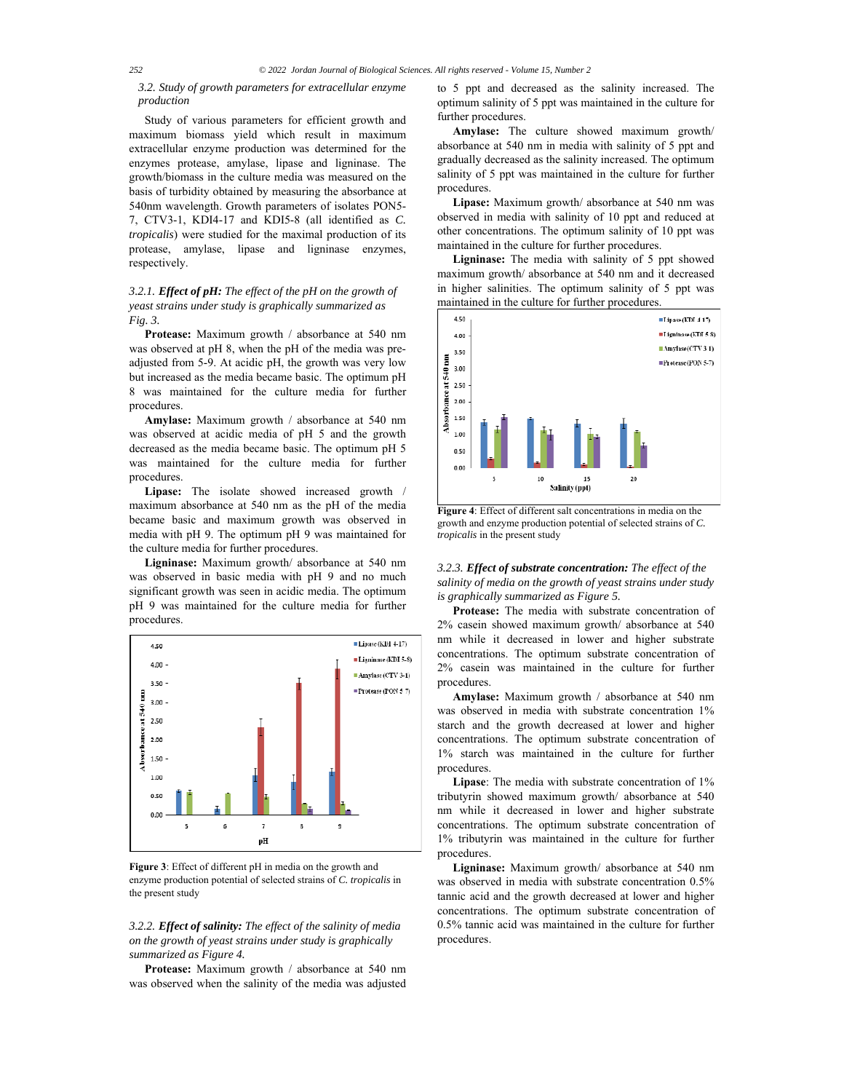## *3.2. Study of growth parameters for extracellular enzyme production*

Study of various parameters for efficient growth and maximum biomass yield which result in maximum extracellular enzyme production was determined for the enzymes protease, amylase, lipase and ligninase. The growth/biomass in the culture media was measured on the basis of turbidity obtained by measuring the absorbance at 540nm wavelength. Growth parameters of isolates PON5- 7, CTV3-1, KDI4-17 and KDI5-8 (all identified as *C. tropicalis*) were studied for the maximal production of its protease, amylase, lipase and ligninase enzymes, respectively.

# *3.2.1. Effect of pH: The effect of the pH on the growth of yeast strains under study is graphically summarized as Fig. 3.*

**Protease:** Maximum growth / absorbance at 540 nm was observed at pH 8, when the pH of the media was preadjusted from 5-9. At acidic pH, the growth was very low but increased as the media became basic. The optimum pH 8 was maintained for the culture media for further procedures.

**Amylase:** Maximum growth / absorbance at 540 nm was observed at acidic media of pH 5 and the growth decreased as the media became basic. The optimum pH 5 was maintained for the culture media for further procedures.

**Lipase:** The isolate showed increased growth / maximum absorbance at 540 nm as the pH of the media became basic and maximum growth was observed in media with pH 9. The optimum pH 9 was maintained for the culture media for further procedures.

**Ligninase:** Maximum growth/ absorbance at 540 nm was observed in basic media with pH 9 and no much significant growth was seen in acidic media. The optimum pH 9 was maintained for the culture media for further procedures.



**Figure 3**: Effect of different pH in media on the growth and enzyme production potential of selected strains of *C. tropicalis* in the present study

# *3.2.2. Effect of salinity: The effect of the salinity of media on the growth of yeast strains under study is graphically summarized as Figure 4.*

**Protease:** Maximum growth / absorbance at 540 nm was observed when the salinity of the media was adjusted to 5 ppt and decreased as the salinity increased. The optimum salinity of 5 ppt was maintained in the culture for further procedures.

**Amylase:** The culture showed maximum growth/ absorbance at 540 nm in media with salinity of 5 ppt and gradually decreased as the salinity increased. The optimum salinity of 5 ppt was maintained in the culture for further procedures.

**Lipase:** Maximum growth/ absorbance at 540 nm was observed in media with salinity of 10 ppt and reduced at other concentrations. The optimum salinity of 10 ppt was maintained in the culture for further procedures.

**Ligninase:** The media with salinity of 5 ppt showed maximum growth/ absorbance at 540 nm and it decreased in higher salinities. The optimum salinity of 5 ppt was maintained in the culture for further procedures.



**Figure 4**: Effect of different salt concentrations in media on the growth and enzyme production potential of selected strains of *C. tropicalis* in the present study

*3.2.3. Effect of substrate concentration: The effect of the salinity of media on the growth of yeast strains under study is graphically summarized as Figure 5.* 

**Protease:** The media with substrate concentration of 2% casein showed maximum growth/ absorbance at 540 nm while it decreased in lower and higher substrate concentrations. The optimum substrate concentration of 2% casein was maintained in the culture for further procedures.

**Amylase:** Maximum growth / absorbance at 540 nm was observed in media with substrate concentration 1% starch and the growth decreased at lower and higher concentrations. The optimum substrate concentration of 1% starch was maintained in the culture for further procedures.

**Lipase**: The media with substrate concentration of 1% tributyrin showed maximum growth/ absorbance at 540 nm while it decreased in lower and higher substrate concentrations. The optimum substrate concentration of 1% tributyrin was maintained in the culture for further procedures.

**Ligninase:** Maximum growth/ absorbance at 540 nm was observed in media with substrate concentration 0.5% tannic acid and the growth decreased at lower and higher concentrations. The optimum substrate concentration of 0.5% tannic acid was maintained in the culture for further procedures.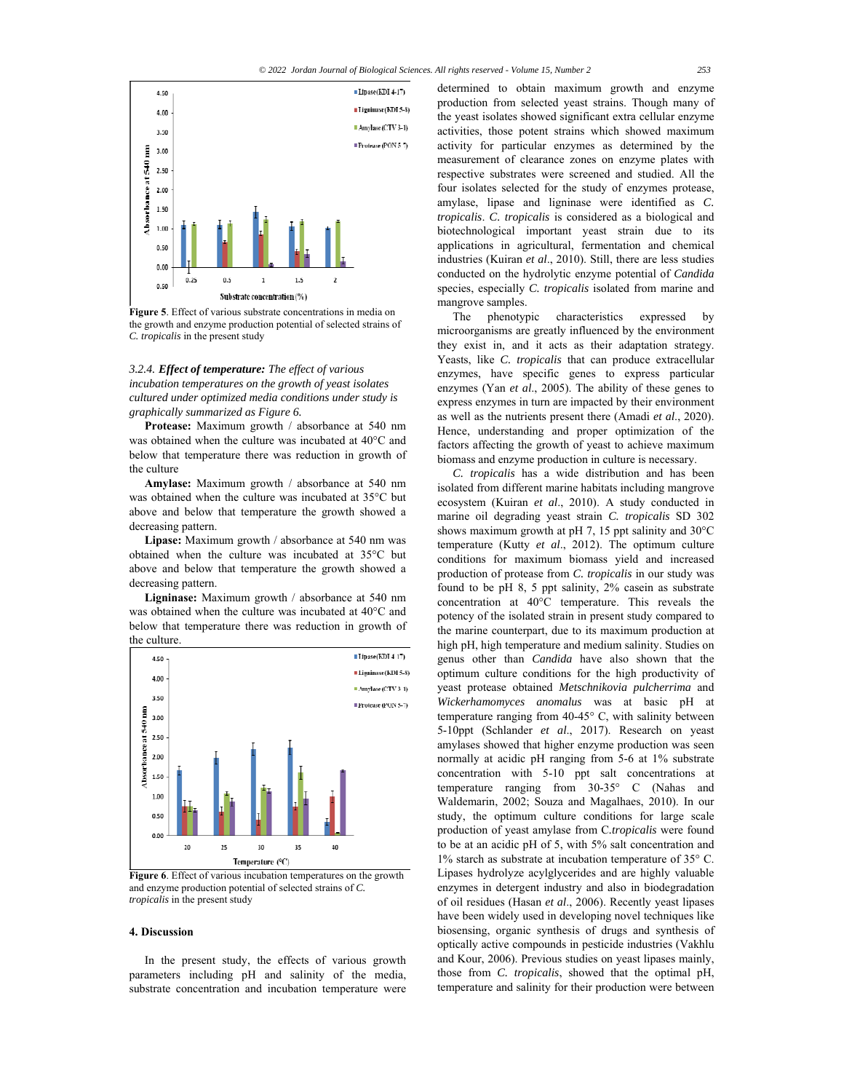

**Figure 5**. Effect of various substrate concentrations in media on the growth and enzyme production potential of selected strains of *C. tropicalis* in the present study

# *3.2.4. Effect of temperature: The effect of various incubation temperatures on the growth of yeast isolates cultured under optimized media conditions under study is graphically summarized as Figure 6.*

**Protease:** Maximum growth / absorbance at 540 nm was obtained when the culture was incubated at 40°C and below that temperature there was reduction in growth of the culture

**Amylase:** Maximum growth / absorbance at 540 nm was obtained when the culture was incubated at 35°C but above and below that temperature the growth showed a decreasing pattern.

**Lipase:** Maximum growth / absorbance at 540 nm was obtained when the culture was incubated at 35°C but above and below that temperature the growth showed a decreasing pattern.

**Ligninase:** Maximum growth / absorbance at 540 nm was obtained when the culture was incubated at 40°C and below that temperature there was reduction in growth of the culture.



**Figure 6**. Effect of various incubation temperatures on the growth and enzyme production potential of selected strains of *C. tropicalis* in the present study

## **4. Discussion**

In the present study, the effects of various growth parameters including pH and salinity of the media, substrate concentration and incubation temperature were determined to obtain maximum growth and enzyme production from selected yeast strains. Though many of the yeast isolates showed significant extra cellular enzyme activities, those potent strains which showed maximum activity for particular enzymes as determined by the measurement of clearance zones on enzyme plates with respective substrates were screened and studied. All the four isolates selected for the study of enzymes protease, amylase, lipase and ligninase were identified as *C. tropicalis*. *C. tropicalis* is considered as a biological and biotechnological important yeast strain due to its applications in agricultural, fermentation and chemical industries (Kuiran *et al*., 2010). Still, there are less studies conducted on the hydrolytic enzyme potential of *Candida*  species, especially *C. tropicalis* isolated from marine and mangrove samples.

The phenotypic characteristics expressed by microorganisms are greatly influenced by the environment they exist in, and it acts as their adaptation strategy. Yeasts, like *C. tropicalis* that can produce extracellular enzymes, have specific genes to express particular enzymes (Yan *et al*., 2005). The ability of these genes to express enzymes in turn are impacted by their environment as well as the nutrients present there (Amadi *et al*., 2020). Hence, understanding and proper optimization of the factors affecting the growth of yeast to achieve maximum biomass and enzyme production in culture is necessary.

*C. tropicalis* has a wide distribution and has been isolated from different marine habitats including mangrove ecosystem (Kuiran *et al*., 2010). A study conducted in marine oil degrading yeast strain *C. tropicalis* SD 302 shows maximum growth at pH 7, 15 ppt salinity and 30°C temperature (Kutty *et al*., 2012). The optimum culture conditions for maximum biomass yield and increased production of protease from *C. tropicalis* in our study was found to be pH 8, 5 ppt salinity, 2% casein as substrate concentration at 40°C temperature. This reveals the potency of the isolated strain in present study compared to the marine counterpart, due to its maximum production at high pH, high temperature and medium salinity. Studies on genus other than *Candida* have also shown that the optimum culture conditions for the high productivity of yeast protease obtained *Metschnikovia pulcherrima* and *Wickerhamomyces anomalus* was at basic pH at temperature ranging from 40-45° C, with salinity between 5-10ppt (Schlander *et al*., 2017). Research on yeast amylases showed that higher enzyme production was seen normally at acidic pH ranging from 5-6 at 1% substrate concentration with 5-10 ppt salt concentrations at temperature ranging from 30-35° C (Nahas and Waldemarin, 2002; Souza and Magalhaes, 2010). In our study, the optimum culture conditions for large scale production of yeast amylase from C*.tropicalis* were found to be at an acidic pH of 5, with 5% salt concentration and 1% starch as substrate at incubation temperature of 35° C. Lipases hydrolyze acylglycerides and are highly valuable enzymes in detergent industry and also in biodegradation of oil residues (Hasan *et al*., 2006). Recently yeast lipases have been widely used in developing novel techniques like biosensing, organic synthesis of drugs and synthesis of optically active compounds in pesticide industries (Vakhlu and Kour, 2006). Previous studies on yeast lipases mainly, those from *C. tropicalis*, showed that the optimal pH, temperature and salinity for their production were between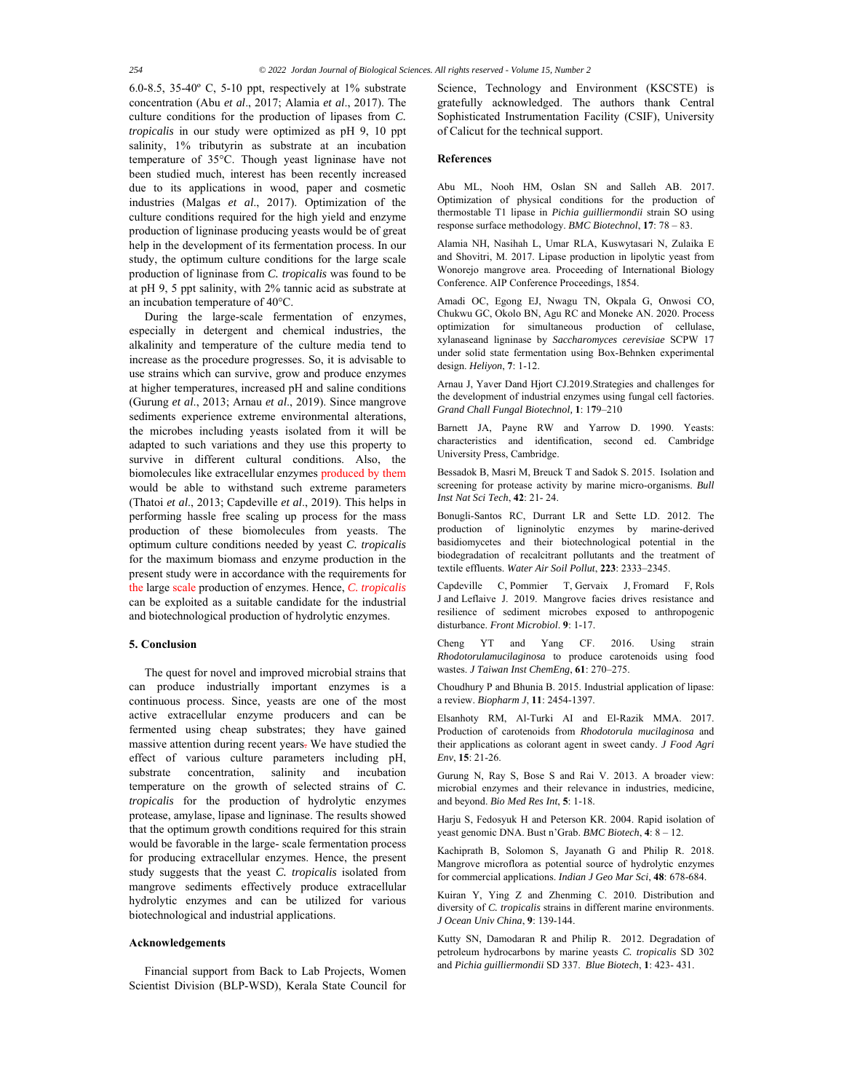6.0-8.5, 35-40 $^{\circ}$  C, 5-10 ppt, respectively at 1% substrate concentration (Abu *et al*., 2017; Alamia *et al*., 2017). The culture conditions for the production of lipases from *C. tropicalis* in our study were optimized as pH 9, 10 ppt salinity, 1% tributyrin as substrate at an incubation temperature of 35°C. Though yeast ligninase have not been studied much, interest has been recently increased due to its applications in wood, paper and cosmetic industries (Malgas *et al*., 2017). Optimization of the culture conditions required for the high yield and enzyme production of ligninase producing yeasts would be of great help in the development of its fermentation process. In our study, the optimum culture conditions for the large scale production of ligninase from *C. tropicalis* was found to be at pH 9, 5 ppt salinity, with 2% tannic acid as substrate at an incubation temperature of 40°C.

During the large-scale fermentation of enzymes, especially in detergent and chemical industries, the alkalinity and temperature of the culture media tend to increase as the procedure progresses. So, it is advisable to use strains which can survive, grow and produce enzymes at higher temperatures, increased pH and saline conditions (Gurung *et al*., 2013; Arnau *et al*., 2019). Since mangrove sediments experience extreme environmental alterations, the microbes including yeasts isolated from it will be adapted to such variations and they use this property to survive in different cultural conditions. Also, the biomolecules like extracellular enzymes produced by them would be able to withstand such extreme parameters (Thatoi *et al*., 2013; Capdeville *et al*., 2019). This helps in performing hassle free scaling up process for the mass production of these biomolecules from yeasts. The optimum culture conditions needed by yeast *C. tropicalis* for the maximum biomass and enzyme production in the present study were in accordance with the requirements for the large scale production of enzymes. Hence, *C. tropicalis* can be exploited as a suitable candidate for the industrial and biotechnological production of hydrolytic enzymes.

# **5. Conclusion**

The quest for novel and improved microbial strains that can produce industrially important enzymes is a continuous process. Since, yeasts are one of the most active extracellular enzyme producers and can be fermented using cheap substrates; they have gained massive attention during recent years. We have studied the effect of various culture parameters including pH, substrate concentration, salinity and incubation temperature on the growth of selected strains of *C. tropicalis* for the production of hydrolytic enzymes protease, amylase, lipase and ligninase. The results showed that the optimum growth conditions required for this strain would be favorable in the large- scale fermentation process for producing extracellular enzymes. Hence, the present study suggests that the yeast *C. tropicalis* isolated from mangrove sediments effectively produce extracellular hydrolytic enzymes and can be utilized for various biotechnological and industrial applications.

#### **Acknowledgements**

Financial support from Back to Lab Projects, Women Scientist Division (BLP-WSD), Kerala State Council for Science, Technology and Environment (KSCSTE) is gratefully acknowledged. The authors thank Central Sophisticated Instrumentation Facility (CSIF), University of Calicut for the technical support.

#### **References**

Abu ML, Nooh HM, Oslan SN and Salleh AB. 2017. Optimization of physical conditions for the production of thermostable T1 lipase in *Pichia guilliermondii* strain SO using response surface methodology. *BMC Biotechnol*, **17**: 78 – 83.

Alamia NH, Nasihah L, Umar RLA, Kuswytasari N, Zulaika E and Shovitri, M. 2017. Lipase production in lipolytic yeast from Wonorejo mangrove area. Proceeding of International Biology Conference. AIP Conference Proceedings, 1854.

Amadi OC, Egong EJ, Nwagu TN, Okpala G, Onwosi CO, Chukwu GC, Okolo BN, Agu RC and Moneke AN. 2020. Process optimization for simultaneous production of cellulase, xylanaseand ligninase by *Saccharomyces cerevisiae* SCPW 17 under solid state fermentation using Box-Behnken experimental design. *Heliyon*, **7**: 1-12.

Arnau J, Yaver Dand Hjort CJ.2019.Strategies and challenges for the development of industrial enzymes using fungal cell factories. *Grand Chall Fungal Biotechnol,* **1**: 1**7**9–210

Barnett JA, Payne RW and Yarrow D. 1990. Yeasts: characteristics and identification, second ed. Cambridge University Press, Cambridge.

Bessadok B, Masri M, Breuck T and Sadok S. 2015. Isolation and screening for protease activity by marine micro-organisms. *Bull Inst Nat Sci Tech*, **42**: 21- 24.

Bonugli-Santos RC, Durrant LR and Sette LD. 2012. The production of ligninolytic enzymes by marine-derived basidiomycetes and their biotechnological potential in the biodegradation of recalcitrant pollutants and the treatment of textile effluents. *Water Air Soil Pollut*, **223**: 2333–2345.

Capdeville C, Pommier T, Gervaix J, Fromard F, Rols J and Leflaive J. 2019. Mangrove facies drives resistance and resilience of sediment microbes exposed to anthropogenic disturbance. *Front Microbiol*. **9**: 1-17.

Cheng YT and Yang CF. 2016. Using strain *Rhodotorulamucilaginosa* to produce carotenoids using food wastes. *J Taiwan Inst ChemEng*, **61**: 270–275.

Choudhury P and Bhunia B. 2015. Industrial application of lipase: a review. *Biopharm J*, **11**: 2454-1397.

Elsanhoty RM, Al-Turki AI and El-Razik MMA. 2017. Production of carotenoids from *Rhodotorula mucilaginosa* and their applications as colorant agent in sweet candy. *J Food Agri Env*, **15**: 21-26.

Gurung N, Ray S, Bose S and Rai V. 2013. A broader view: microbial enzymes and their relevance in industries, medicine, and beyond. *Bio Med Res Int*, **5**: 1-18.

Harju S, Fedosyuk H and Peterson KR. 2004. Rapid isolation of yeast genomic DNA. Bust n'Grab. *BMC Biotech*, **4**: 8 – 12.

Kachiprath B, Solomon S, Jayanath G and Philip R. 2018. Mangrove microflora as potential source of hydrolytic enzymes for commercial applications. *Indian J Geo Mar Sci*, **48**: 678-684.

Kuiran Y, Ying Z and Zhenming C. 2010. Distribution and diversity of *C. tropicalis* strains in different marine environments. *J Ocean Univ China*, **9**: 139-144.

Kutty SN, Damodaran R and Philip R. 2012. Degradation of petroleum hydrocarbons by marine yeasts *C. tropicalis* SD 302 and *Pichia guilliermondii* SD 337. *Blue Biotech*, **1**: 423- 431.